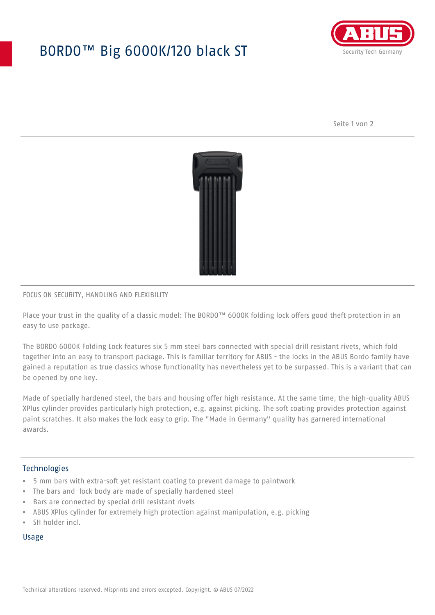## BORDO™ Big 6000K/120 black ST



Seite 1 von 2



#### FOCUS ON SECURITY, HANDLING AND FLEXIBILITY

Place your trust in the quality of a classic model: The BORDO™ 6000K folding lock offers good theft protection in an easy to use package.

The BORDO 6000K Folding Lock features six 5 mm steel bars connected with special drill resistant rivets, which fold together into an easy to transport package. This is familiar territory for ABUS - the locks in the ABUS Bordo family have gained a reputation as true classics whose functionality has nevertheless yet to be surpassed. This is a variant that can be opened by one key.

Made of specially hardened steel, the bars and housing offer high resistance. At the same time, the high-quality ABUS XPlus cylinder provides particularly high protection, e.g. against picking. The soft coating provides protection against paint scratches. It also makes the lock easy to grip. The "Made in Germany" quality has garnered international awards.

#### **Technologies**

- 5 mm bars with extra-soft yet resistant coating to prevent damage to paintwork
- The bars and lock body are made of specially hardened steel
- Bars are connected by special drill resistant rivets
- ABUS XPlus cylinder for extremely high protection against manipulation, e.g. picking
- SH holder incl.

#### Usage